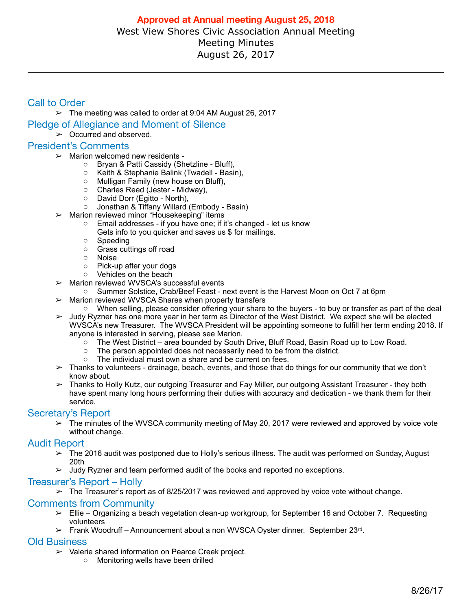# Call to Order

 $\geq$  The meeting was called to order at 9:04 AM August 26, 2017

- Pledge of Allegiance and Moment of Silence
	- $\geq$  Occurred and observed.

### President's Comments

- $\triangleright$  Marion welcomed new residents
	- o Bryan & Patti Cassidy (Shetzline Bluff),
	- o Keith & Stephanie Balink (Twadell Basin),
	- o Mulligan Family (new house on Bluff),
	- o Charles Reed (Jester Midway),
	- David Dorr (Egitto North),<br>○ Jonathan & Tiffany Willard
	- Jonathan & Tiffany Willard (Embody Basin)
- $\triangleright$  Marion reviewed minor "Housekeeping" items
	- $\circ$  Email addresses if you have one; if it's changed let us know Gets info to you quicker and saves us \$ for mailings.
		- o Speeding
		- o Grass cuttings off road
		- o Noise
		- o Pick-up after your dogs
		- o Vehicles on the beach
- $\triangleright$  Marion reviewed WVSCA's successful events
	- o Summer Solstice, Crab/Beef Feast next event is the Harvest Moon on Oct 7 at 6pm
- $\triangleright$  Marion reviewed WVSCA Shares when property transfers
	- o When selling, please consider offering your share to the buyers to buy or transfer as part of the deal
- $>$  Judy Ryzner has one more year in her term as Director of the West District. We expect she will be elected WVSCA's new Treasurer. The WVSCA President will be appointing someone to fulfill her term ending 2018. If anyone is interested in serving, please see Marion.
	- o The West District area bounded by South Drive, Bluff Road, Basin Road up to Low Road.
	- o The person appointed does not necessarily need to be from the district.
	- o The individual must own a share and be current on fees.
- $\geq$  Thanks to volunteers drainage, beach, events, and those that do things for our community that we don't know about.
- ➢ Thanks to Holly Kutz, our outgoing Treasurer and Fay Miller, our outgoing Assistant Treasurer they both have spent many long hours performing their duties with accuracy and dedication - we thank them for their service.

## Secretary's Report

 $\geq$  The minutes of the WVSCA community meeting of May 20, 2017 were reviewed and approved by voice vote without change.

#### Audit Report

- $\geq$  The 2016 audit was postponed due to Holly's serious illness. The audit was performed on Sunday, August 20th
- $\geq$  Judy Ryzner and team performed audit of the books and reported no exceptions.

#### Treasurer's Report – Holly

 $\geq$  The Treasurer's report as of 8/25/2017 was reviewed and approved by voice vote without change.

#### Comments from Community

- $\geq$  Ellie Organizing a beach vegetation clean-up workgroup, for September 16 and October 7. Requesting volunteers
- ➢ Frank Woodruff Announcement about a non WVSCA Oyster dinner. September 23rd.

#### Old Business

- ➢ Valerie shared information on Pearce Creek project.
	- o Monitoring wells have been drilled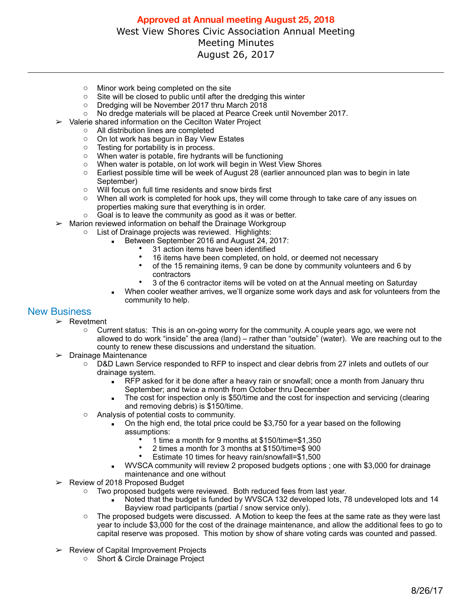- o Minor work being completed on the site
- $\circ$  Site will be closed to public until after the dredging this winter  $\circ$  Dredging will be November 2017 thru March 2018
- 
- $\circ$  Dredging will be November 2017 thru March 2018<br> $\circ$  No dredge materials will be placed at Pearce Cree No dredge materials will be placed at Pearce Creek until November 2017.
- ➢ Valerie shared information on the Cecilton Water Project
	- o All distribution lines are completed
	- o On lot work has begun in Bay View Estates
	- o Testing for portability is in process.
	- o When water is potable, fire hydrants will be functioning
	- o When water is potable, on lot work will begin in West View Shores
	- $\circ$  Earliest possible time will be week of August 28 (earlier announced plan was to begin in late September)
	- o Will focus on full time residents and snow birds first
	- $\circ$  When all work is completed for hook ups, they will come through to take care of any issues on properties making sure that everything is in order.
- o Goal is to leave the community as good as it was or better.
- $\triangleright$  Marion reviewed information on behalf the Drainage Workgroup
	- o List of Drainage projects was reviewed. Highlights:
		- Between September 2016 and August 24, 2017:
			- 31 action items have been identified
			- 16 items have been completed, on hold, or deemed not necessary<br>• of the 15 remaining items 9 can be done by community volunteers
			- of the 15 remaining items, 9 can be done by community volunteers and 6 by contractors
			- 3 of the 6 contractor items will be voted on at the Annual meeting on Saturday
		- When cooler weather arrives, we'll organize some work days and ask for volunteers from the community to help.

## New Business

- ➢ Revetment
	- $\circ$  Current status: This is an on-going worry for the community. A couple years ago, we were not allowed to do work "inside" the area (land) – rather than "outside" (water). We are reaching out to the county to renew these discussions and understand the situation.
- $\triangleright$  Drainage Maintenance
	- o D&D Lawn Service responded to RFP to inspect and clear debris from 27 inlets and outlets of our drainage system.
		- RFP asked for it be done after a heavy rain or snowfall; once a month from January thru September; and twice a month from October thru December
		- The cost for inspection only is \$50/time and the cost for inspection and servicing (clearing and removing debris) is \$150/time.
	- o Analysis of potential costs to community.
		- $\blacksquare$  On the high end, the total price could be \$3,750 for a year based on the following assumptions:
			- 1 time a month for 9 months at \$150/time=\$1,350
			- 2 times a month for 3 months at \$150/time=\$ 900
			- Estimate 10 times for heavy rain/snowfall=\$1,500
		- WVSCA community will review 2 proposed budgets options; one with \$3,000 for drainage maintenance and one without
- ➢ Review of 2018 Proposed Budget
	- o Two proposed budgets were reviewed. Both reduced fees from last year.
		- Noted that the budget is funded by WVSCA 132 developed lots, 78 undeveloped lots and 14 Bayview road participants (partial / snow service only).
	- o The proposed budgets were discussed. A Motion to keep the fees at the same rate as they were last year to include \$3,000 for the cost of the drainage maintenance, and allow the additional fees to go to capital reserve was proposed. This motion by show of share voting cards was counted and passed.
- $\geq$  Review of Capital Improvement Projects
	- o Short & Circle Drainage Project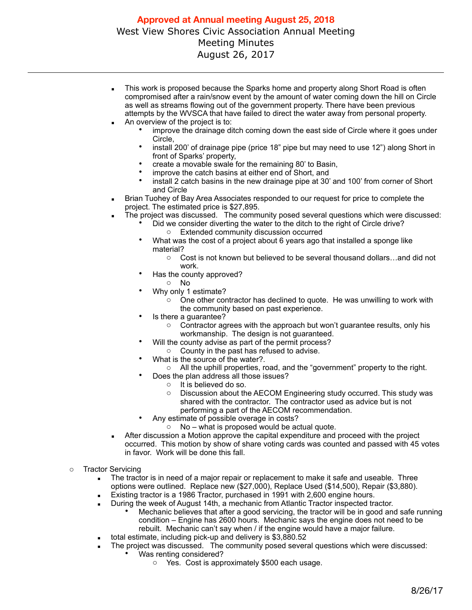- This work is proposed because the Sparks home and property along Short Road is often compromised after a rain/snow event by the amount of water coming down the hill on Circle as well as streams flowing out of the government property. There have been previous attempts by the WVSCA that have failed to direct the water away from personal property.
- An overview of the project is to:
	- improve the drainage ditch coming down the east side of Circle where it goes under Circle,
	- install 200' of drainage pipe (price 18" pipe but may need to use 12") along Short in front of Sparks' property,
	- create a movable swale for the remaining 80' to Basin,
	- improve the catch basins at either end of Short, and
	- install 2 catch basins in the new drainage pipe at 30' and 100' from corner of Short and Circle
- Brian Tuohey of Bay Area Associates responded to our request for price to complete the project. The estimated price is \$27,895.
- The project was discussed. The community posed several questions which were discussed:
	- Did we consider diverting the water to the ditch to the right of Circle drive?
		- o Extended community discussion occurred
	- What was the cost of a project about 6 years ago that installed a sponge like material?
		- o Cost is not known but believed to be several thousand dollars…and did not work.
	- Has the county approved?
		- o No
		- Why only 1 estimate?
			- $\circ$  One other contractor has declined to quote. He was unwilling to work with the community based on past experience.
	- Is there a quarantee?
		- o Contractor agrees with the approach but won't guarantee results, only his workmanship. The design is not guaranteed.
		- Will the county advise as part of the permit process?
			- o County in the past has refused to advise.
	- What is the source of the water?.
	- o All the uphill properties, road, and the "government" property to the right.
	- Does the plan address all those issues?
		- $\circ$  It is believed do so.<br> $\circ$  Discussion about the
		- Discussion about the AECOM Engineering study occurred. This study was shared with the contractor. The contractor used as advice but is not performing a part of the AECOM recommendation.
		- Any estimate of possible overage in costs?
			- $\circ$  No what is proposed would be actual quote.
- **EXECT** After discussion a Motion approve the capital expenditure and proceed with the project occurred. This motion by show of share voting cards was counted and passed with 45 votes in favor. Work will be done this fall.
- o Tractor Servicing
	- The tractor is in need of a major repair or replacement to make it safe and useable. Three options were outlined. Replace new (\$27,000), Replace Used (\$14,500), Repair (\$3,880).
	- Existing tractor is a 1986 Tractor, purchased in 1991 with 2,600 engine hours.
		- During the week of August 14th, a mechanic from Atlantic Tractor inspected tractor.
			- Mechanic believes that after a good servicing, the tractor will be in good and safe running condition – Engine has 2600 hours. Mechanic says the engine does not need to be rebuilt. Mechanic can't say when / if the engine would have a major failure.
	- total estimate, including pick-up and delivery is \$3,880.52
		- The project was discussed. The community posed several questions which were discussed:
			- Was renting considered?
				- o Yes. Cost is approximately \$500 each usage.